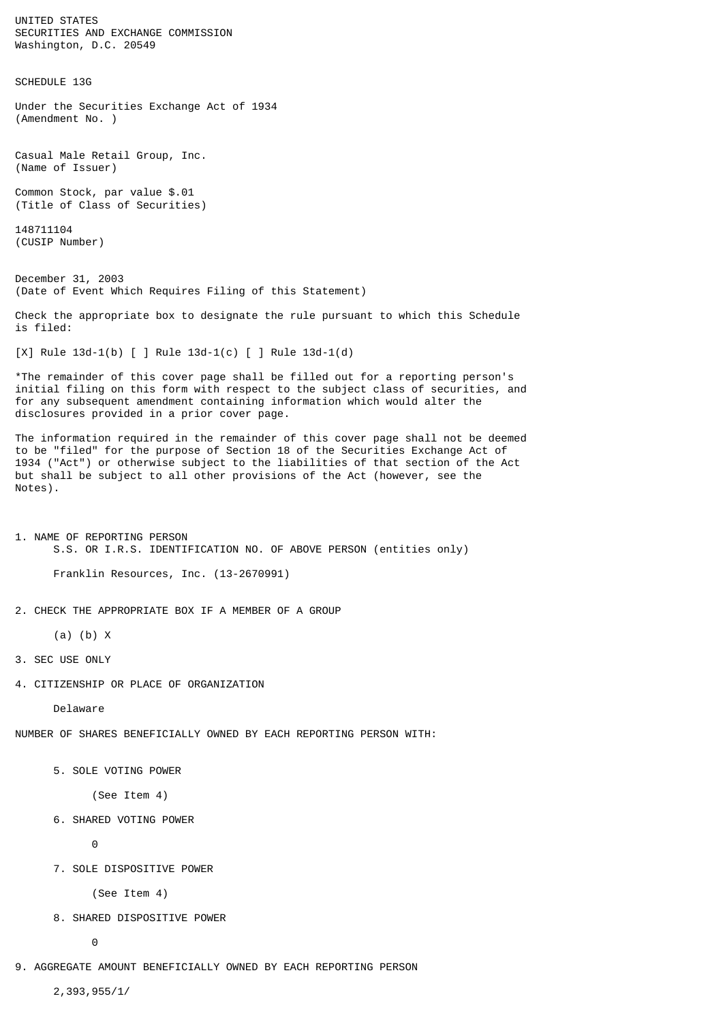UNITED STATES SECURITIES AND EXCHANGE COMMISSION Washington, D.C. 20549

SCHEDULE 13G

Under the Securities Exchange Act of 1934 (Amendment No. )

Casual Male Retail Group, Inc. (Name of Issuer)

Common Stock, par value \$.01 (Title of Class of Securities)

148711104 (CUSIP Number)

December 31, 2003 (Date of Event Which Requires Filing of this Statement)

Check the appropriate box to designate the rule pursuant to which this Schedule is filed:

[X] Rule 13d-1(b) [ ] Rule 13d-1(c) [ ] Rule 13d-1(d)

\*The remainder of this cover page shall be filled out for a reporting person's initial filing on this form with respect to the subject class of securities, and for any subsequent amendment containing information which would alter the disclosures provided in a prior cover page.

The information required in the remainder of this cover page shall not be deemed to be "filed" for the purpose of Section 18 of the Securities Exchange Act of 1934 ("Act") or otherwise subject to the liabilities of that section of the Act but shall be subject to all other provisions of the Act (however, see the Notes).

1. NAME OF REPORTING PERSON S.S. OR I.R.S. IDENTIFICATION NO. OF ABOVE PERSON (entities only)

Franklin Resources, Inc. (13-2670991)

2. CHECK THE APPROPRIATE BOX IF A MEMBER OF A GROUP

(a) (b) X

- 3. SEC USE ONLY
- 4. CITIZENSHIP OR PLACE OF ORGANIZATION

Delaware

NUMBER OF SHARES BENEFICIALLY OWNED BY EACH REPORTING PERSON WITH:

5. SOLE VOTING POWER

(See Item 4)

6. SHARED VOTING POWER

0

7. SOLE DISPOSITIVE POWER

(See Item 4)

8. SHARED DISPOSITIVE POWER

0

9. AGGREGATE AMOUNT BENEFICIALLY OWNED BY EACH REPORTING PERSON

2,393,955/1/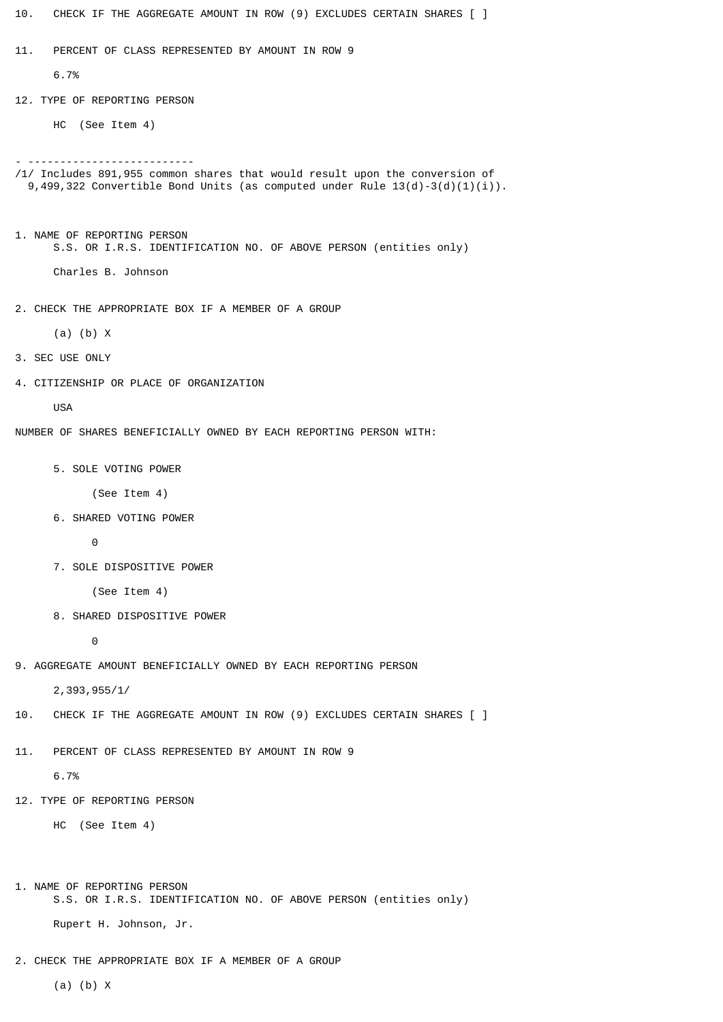- 10. CHECK IF THE AGGREGATE AMOUNT IN ROW (9) EXCLUDES CERTAIN SHARES [ ] 11. PERCENT OF CLASS REPRESENTED BY AMOUNT IN ROW 9 6.7% 12. TYPE OF REPORTING PERSON HC (See Item 4) - -------------------------- /1/ Includes 891,955 common shares that would result upon the conversion of 9,499,322 Convertible Bond Units (as computed under Rule 13(d)-3(d)(1)(i)). 1. NAME OF REPORTING PERSON S.S. OR I.R.S. IDENTIFICATION NO. OF ABOVE PERSON (entities only) Charles B. Johnson 2. CHECK THE APPROPRIATE BOX IF A MEMBER OF A GROUP (a) (b) X 3. SEC USE ONLY 4. CITIZENSHIP OR PLACE OF ORGANIZATION USA NUMBER OF SHARES BENEFICIALLY OWNED BY EACH REPORTING PERSON WITH: 5. SOLE VOTING POWER (See Item 4) 6. SHARED VOTING POWER 0 7. SOLE DISPOSITIVE POWER (See Item 4) 8. SHARED DISPOSITIVE POWER 0 9. AGGREGATE AMOUNT BENEFICIALLY OWNED BY EACH REPORTING PERSON 2,393,955/1/ 10. CHECK IF THE AGGREGATE AMOUNT IN ROW (9) EXCLUDES CERTAIN SHARES [ ] 11. PERCENT OF CLASS REPRESENTED BY AMOUNT IN ROW 9 6.7% 12. TYPE OF REPORTING PERSON HC (See Item 4) 1. NAME OF REPORTING PERSON S.S. OR I.R.S. IDENTIFICATION NO. OF ABOVE PERSON (entities only) Rupert H. Johnson, Jr.
	- 2. CHECK THE APPROPRIATE BOX IF A MEMBER OF A GROUP

(a) (b) X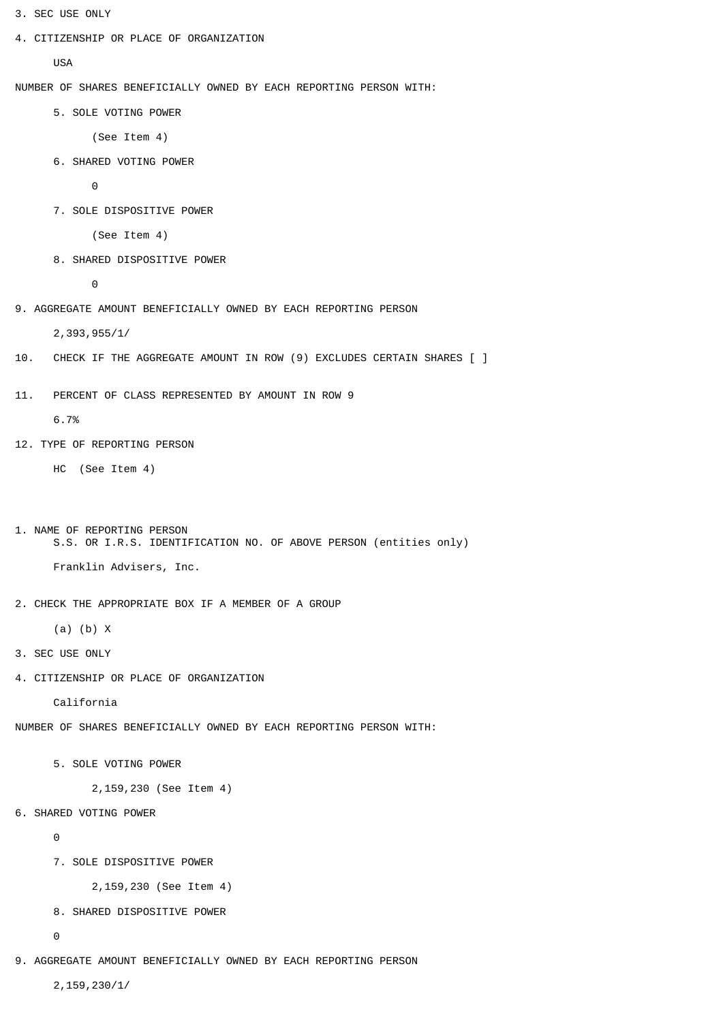- 3. SEC USE ONLY
- 4. CITIZENSHIP OR PLACE OF ORGANIZATION

USA

NUMBER OF SHARES BENEFICIALLY OWNED BY EACH REPORTING PERSON WITH:

5. SOLE VOTING POWER

```
 (See Item 4)
```
6. SHARED VOTING POWER

0

7. SOLE DISPOSITIVE POWER

(See Item 4)

8. SHARED DISPOSITIVE POWER

0

9. AGGREGATE AMOUNT BENEFICIALLY OWNED BY EACH REPORTING PERSON

2,393,955/1/

- 10. CHECK IF THE AGGREGATE AMOUNT IN ROW (9) EXCLUDES CERTAIN SHARES [ ]
- 11. PERCENT OF CLASS REPRESENTED BY AMOUNT IN ROW 9

6.7%

12. TYPE OF REPORTING PERSON

HC (See Item 4)

1. NAME OF REPORTING PERSON S.S. OR I.R.S. IDENTIFICATION NO. OF ABOVE PERSON (entities only)

Franklin Advisers, Inc.

2. CHECK THE APPROPRIATE BOX IF A MEMBER OF A GROUP

```
 (a) (b) X
```
- 3. SEC USE ONLY
- 4. CITIZENSHIP OR PLACE OF ORGANIZATION

California

NUMBER OF SHARES BENEFICIALLY OWNED BY EACH REPORTING PERSON WITH:

5. SOLE VOTING POWER

2,159,230 (See Item 4)

6. SHARED VOTING POWER

 $\Omega$ 

7. SOLE DISPOSITIVE POWER

2,159,230 (See Item 4)

8. SHARED DISPOSITIVE POWER

 $\Theta$ 

9. AGGREGATE AMOUNT BENEFICIALLY OWNED BY EACH REPORTING PERSON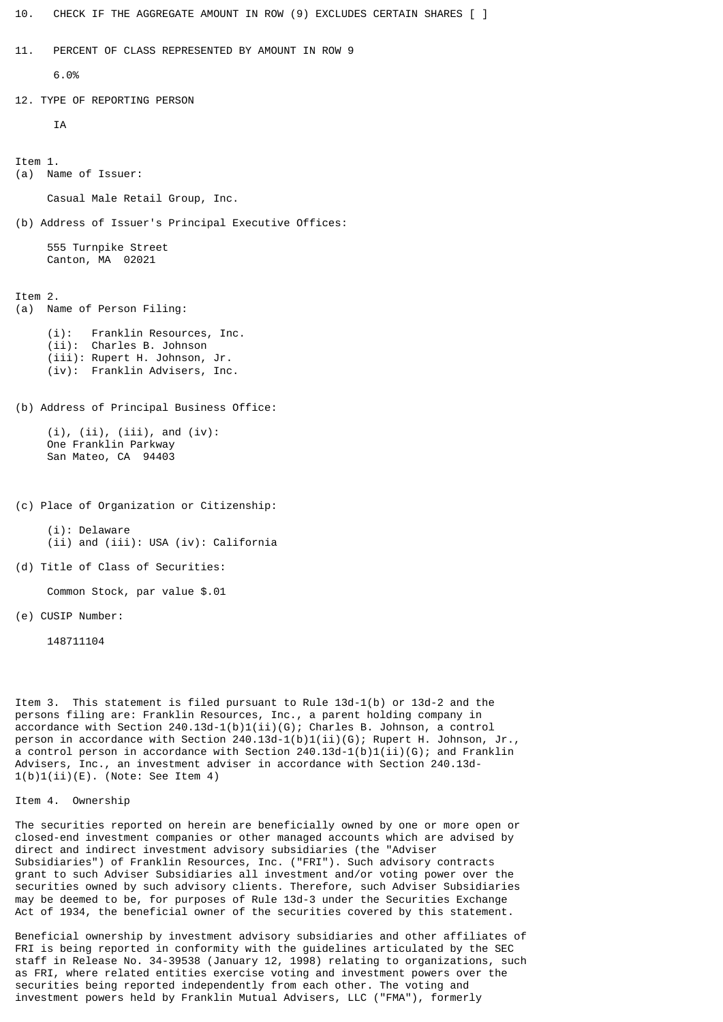10. CHECK IF THE AGGREGATE AMOUNT IN ROW (9) EXCLUDES CERTAIN SHARES [ ]

```
11. PERCENT OF CLASS REPRESENTED BY AMOUNT IN ROW 9
```
6.0%

12. TYPE OF REPORTING PERSON

```
TA
```
Item 1. (a) Name of Issuer:

Casual Male Retail Group, Inc.

(b) Address of Issuer's Principal Executive Offices:

 555 Turnpike Street Canton, MA 02021

Item 2.

(a) Name of Person Filing:

 (i): Franklin Resources, Inc. (ii): Charles B. Johnson (iii): Rupert H. Johnson, Jr. (iv): Franklin Advisers, Inc.

(b) Address of Principal Business Office:

 (i), (ii), (iii), and (iv): One Franklin Parkway San Mateo, CA 94403

(c) Place of Organization or Citizenship:

 (i): Delaware (ii) and (iii): USA (iv): California

(d) Title of Class of Securities:

Common Stock, par value \$.01

(e) CUSIP Number:

148711104

Item 3. This statement is filed pursuant to Rule 13d-1(b) or 13d-2 and the persons filing are: Franklin Resources, Inc., a parent holding company in accordance with Section 240.13d-1(b)1(ii)(G); Charles B. Johnson, a control person in accordance with Section 240.13d-1(b)1(ii)(G); Rupert H. Johnson, Jr., a control person in accordance with Section  $240.13d-1(b)1(ii)(G)$ ; and Franklin Advisers, Inc., an investment adviser in accordance with Section 240.13d- $1(b)1(i)$ (E). (Note: See Item 4)

Item 4. Ownership

The securities reported on herein are beneficially owned by one or more open or closed-end investment companies or other managed accounts which are advised by direct and indirect investment advisory subsidiaries (the "Adviser Subsidiaries") of Franklin Resources, Inc. ("FRI"). Such advisory contracts grant to such Adviser Subsidiaries all investment and/or voting power over the securities owned by such advisory clients. Therefore, such Adviser Subsidiaries may be deemed to be, for purposes of Rule 13d-3 under the Securities Exchange Act of 1934, the beneficial owner of the securities covered by this statement.

Beneficial ownership by investment advisory subsidiaries and other affiliates of FRI is being reported in conformity with the guidelines articulated by the SEC staff in Release No. 34-39538 (January 12, 1998) relating to organizations, such as FRI, where related entities exercise voting and investment powers over the securities being reported independently from each other. The voting and investment powers held by Franklin Mutual Advisers, LLC ("FMA"), formerly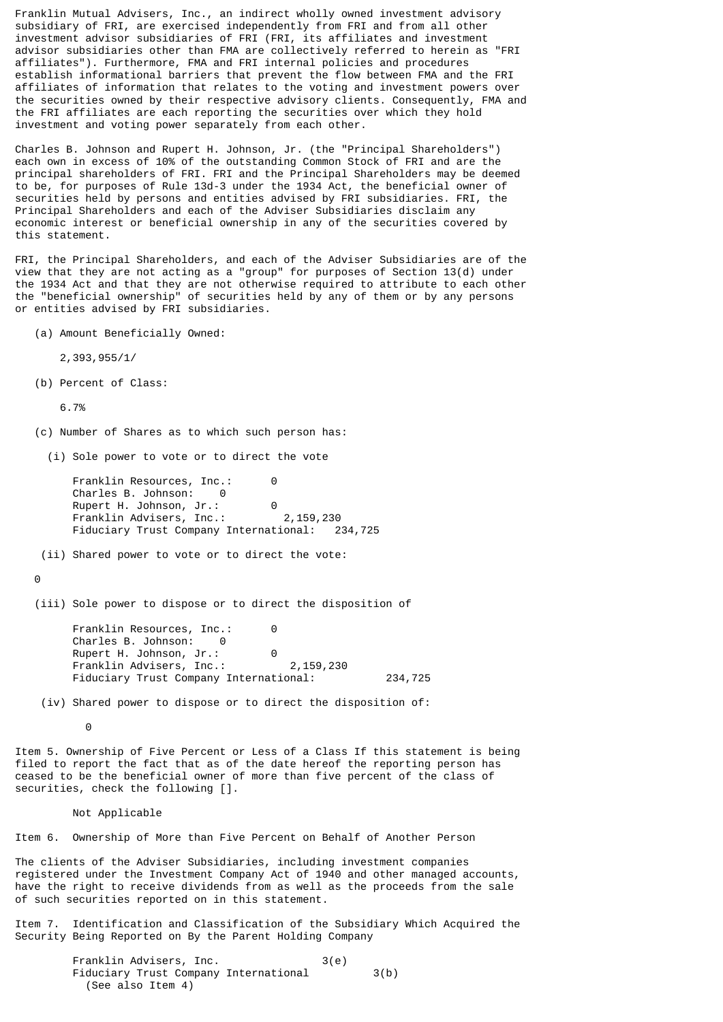Franklin Mutual Advisers, Inc., an indirect wholly owned investment advisory subsidiary of FRI, are exercised independently from FRI and from all other investment advisor subsidiaries of FRI (FRI, its affiliates and investment advisor subsidiaries other than FMA are collectively referred to herein as "FRI affiliates"). Furthermore, FMA and FRI internal policies and procedures establish informational barriers that prevent the flow between FMA and the FRI affiliates of information that relates to the voting and investment powers over the securities owned by their respective advisory clients. Consequently, FMA and the FRI affiliates are each reporting the securities over which they hold investment and voting power separately from each other.

Charles B. Johnson and Rupert H. Johnson, Jr. (the "Principal Shareholders") each own in excess of 10% of the outstanding Common Stock of FRI and are the principal shareholders of FRI. FRI and the Principal Shareholders may be deemed to be, for purposes of Rule 13d-3 under the 1934 Act, the beneficial owner of securities held by persons and entities advised by FRI subsidiaries. FRI, the Principal Shareholders and each of the Adviser Subsidiaries disclaim any economic interest or beneficial ownership in any of the securities covered by this statement.

FRI, the Principal Shareholders, and each of the Adviser Subsidiaries are of the view that they are not acting as a "group" for purposes of Section 13(d) under the 1934 Act and that they are not otherwise required to attribute to each other the "beneficial ownership" of securities held by any of them or by any persons or entities advised by FRI subsidiaries.

(a) Amount Beneficially Owned:

2,393,955/1/

(b) Percent of Class:

6.7%

- (c) Number of Shares as to which such person has:
	- (i) Sole power to vote or to direct the vote

Franklin Resources, Inc.: 0 Charles B. Johnson: 0 Rupert H. Johnson, Jr.: 0 Franklin Advisers, Inc.: 2,159,230 Fiduciary Trust Company International: 234,725

(ii) Shared power to vote or to direct the vote:

 $\Theta$ 

(iii) Sole power to dispose or to direct the disposition of

Franklin Resources, Inc.: 0 Charles B. Johnson: 0 Rupert H. Johnson, Jr.: 0 Franklin Advisers, Inc.: 2,159,230 Fiduciary Trust Company International: 234,725

(iv) Shared power to dispose or to direct the disposition of:

**0** 

Item 5. Ownership of Five Percent or Less of a Class If this statement is being filed to report the fact that as of the date hereof the reporting person has ceased to be the beneficial owner of more than five percent of the class of securities, check the following [].

#### Not Applicable

Item 6. Ownership of More than Five Percent on Behalf of Another Person

The clients of the Adviser Subsidiaries, including investment companies registered under the Investment Company Act of 1940 and other managed accounts, have the right to receive dividends from as well as the proceeds from the sale of such securities reported on in this statement.

Item 7. Identification and Classification of the Subsidiary Which Acquired the Security Being Reported on By the Parent Holding Company

> Franklin Advisers, Inc. 3(e) Fiduciary Trust Company International 3(b) (See also Item 4)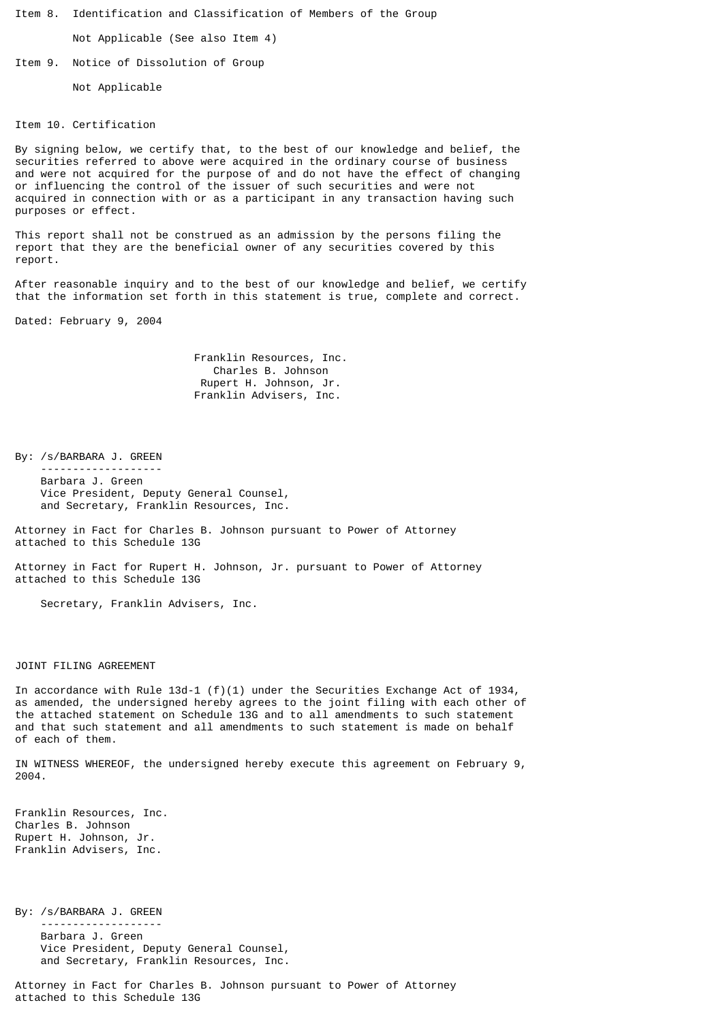Item 8. Identification and Classification of Members of the Group

Not Applicable (See also Item 4)

Item 9. Notice of Dissolution of Group

Not Applicable

## Item 10. Certification

By signing below, we certify that, to the best of our knowledge and belief, the securities referred to above were acquired in the ordinary course of business and were not acquired for the purpose of and do not have the effect of changing or influencing the control of the issuer of such securities and were not acquired in connection with or as a participant in any transaction having such purposes or effect.

This report shall not be construed as an admission by the persons filing the report that they are the beneficial owner of any securities covered by this report.

After reasonable inquiry and to the best of our knowledge and belief, we certify that the information set forth in this statement is true, complete and correct.

Dated: February 9, 2004

 Franklin Resources, Inc. Charles B. Johnson Rupert H. Johnson, Jr. Franklin Advisers, Inc.

By: /s/BARBARA J. GREEN

 ------------------- Barbara J. Green Vice President, Deputy General Counsel, and Secretary, Franklin Resources, Inc.

Attorney in Fact for Charles B. Johnson pursuant to Power of Attorney attached to this Schedule 13G

Attorney in Fact for Rupert H. Johnson, Jr. pursuant to Power of Attorney attached to this Schedule 13G

Secretary, Franklin Advisers, Inc.

## JOINT FILING AGREEMENT

In accordance with Rule 13d-1 (f)(1) under the Securities Exchange Act of 1934, as amended, the undersigned hereby agrees to the joint filing with each other of the attached statement on Schedule 13G and to all amendments to such statement and that such statement and all amendments to such statement is made on behalf of each of them.

IN WITNESS WHEREOF, the undersigned hereby execute this agreement on February 9, 2004.

Franklin Resources, Inc. Charles B. Johnson Rupert H. Johnson, Jr. Franklin Advisers, Inc.

By: /s/BARBARA J. GREEN ------------------- Barbara J. Green Vice President, Deputy General Counsel, and Secretary, Franklin Resources, Inc.

Attorney in Fact for Charles B. Johnson pursuant to Power of Attorney attached to this Schedule 13G